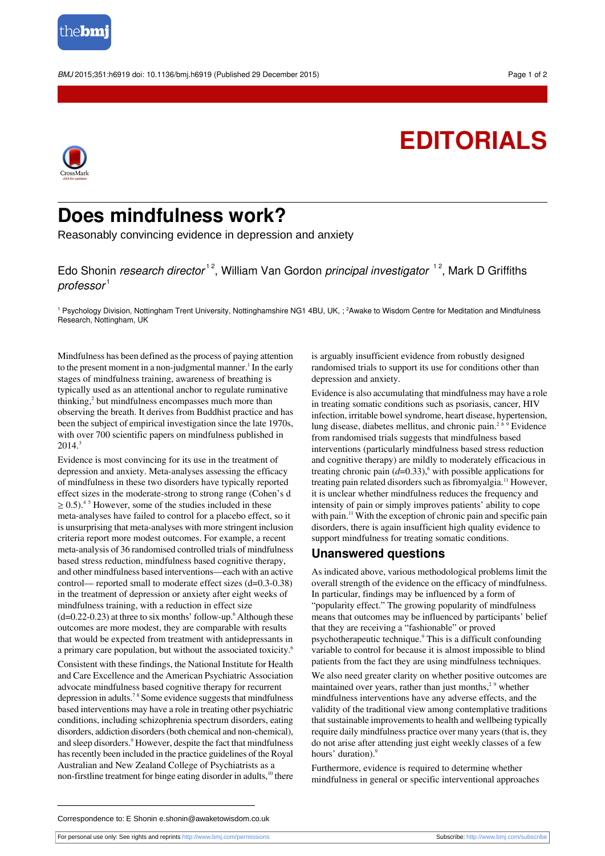

BMJ 2015;351:h6919 doi: 10.1136/bmj.h6919 (Published 29 December 2015) Page 1 of 2

## **EDITORIALS**



## **Does mindfulness work?**

Reasonably convincing evidence in depression and anxiety

Edo Shonin *research director*<sup>12</sup>, William Van Gordon *principal investigator* <sup>12</sup>, Mark D Griffiths  $professor<sup>1</sup>$ 

 $^1$  Psychology Division, Nottingham Trent University, Nottinghamshire NG1 4BU, UK, ;  $^2$ Awake to Wisdom Centre for Meditation and Mindfulness Research, Nottingham, UK

Mindfulness has been defined asthe process of paying attention to the present moment in a non-judgmental manner.<sup>1</sup> In the early stages of mindfulness training, awareness of breathing is typically used as an attentional anchor to regulate ruminative thinking,<sup>2</sup> but mindfulness encompasses much more than observing the breath. It derives from Buddhist practice and has been the subject of empirical investigation since the late 1970s, with over 700 scientific papers on mindfulness published in  $2014.<sup>3</sup>$ 

Evidence is most convincing for its use in the treatment of depression and anxiety. Meta-analyses assessing the efficacy of mindfulness in these two disorders have typically reported effect sizes in the moderate-strong to strong range (Cohen's d  $\geq 0.5$ ).<sup>45</sup> However, some of the studies included in these meta-analyses have failed to control for a placebo effect, so it is unsurprising that meta-analyses with more stringent inclusion criteria report more modest outcomes. For example, a recent meta-analysis of 36 randomised controlled trials of mindfulness based stress reduction, mindfulness based cognitive therapy, and other mindfulness based interventions—each with an active control— reported small to moderate effect sizes (d=0.3-0.38) in the treatment of depression or anxiety after eight weeks of mindfulness training, with a reduction in effect size  $(d=0.22-0.23)$  at three to six months' follow-up.<sup>6</sup> Although these outcomes are more modest, they are comparable with results that would be expected from treatment with antidepressants in a primary care population, but without the associated toxicity.<sup>6</sup>

Consistent with these findings, the National Institute for Health and Care Excellence and the American Psychiatric Association advocate mindfulness based cognitive therapy for recurrent depression in adults.<sup>78</sup> Some evidence suggests that mindfulness based interventions may have a role in treating other psychiatric conditions, including schizophrenia spectrum disorders, eating disorders, addiction disorders(both chemical and non-chemical), and sleep disorders.<sup>9</sup> However, despite the fact that mindfulness has recently been included in the practice guidelines of the Royal Australian and New Zealand College of Psychiatrists as a non-firstline treatment for binge eating disorder in adults,<sup>10</sup> there is arguably insufficient evidence from robustly designed randomised trials to support its use for conditions other than depression and anxiety.

Evidence is also accumulating that mindfulness may have a role in treating somatic conditions such as psoriasis, cancer, HIV infection, irritable bowel syndrome, heart disease, hypertension, lung disease, diabetes mellitus, and chronic pain.<sup>2  $6\frac{9}{9}$ </sup> Evidence from randomised trials suggests that mindfulness based interventions (particularly mindfulness based stress reduction and cognitive therapy) are mildly to moderately efficacious in treating chronic pain  $(d=0.33)$ ,<sup>6</sup> with possible applications for treating pain related disorders such as fibromyalgia.<sup>11</sup> However, it is unclear whether mindfulness reduces the frequency and intensity of pain or simply improves patients' ability to cope with pain.<sup>11</sup> With the exception of chronic pain and specific pain disorders, there is again insufficient high quality evidence to support mindfulness for treating somatic conditions.

## **Unanswered questions**

As indicated above, various methodological problems limit the overall strength of the evidence on the efficacy of mindfulness. In particular, findings may be influenced by a form of "popularity effect." The growing popularity of mindfulness means that outcomes may be influenced by participants' belief that they are receiving a "fashionable" or proved psychotherapeutic technique.<sup>9</sup> This is a difficult confounding variable to control for because it is almost impossible to blind patients from the fact they are using mindfulness techniques.

We also need greater clarity on whether positive outcomes are maintained over years, rather than just months, $29$  whether mindfulness interventions have any adverse effects, and the validity of the traditional view among contemplative traditions that sustainable improvements to health and wellbeing typically require daily mindfulness practice over many years(that is, they do not arise after attending just eight weekly classes of a few hours' duration).<sup>9</sup>

Furthermore, evidence is required to determine whether mindfulness in general or specific interventional approaches